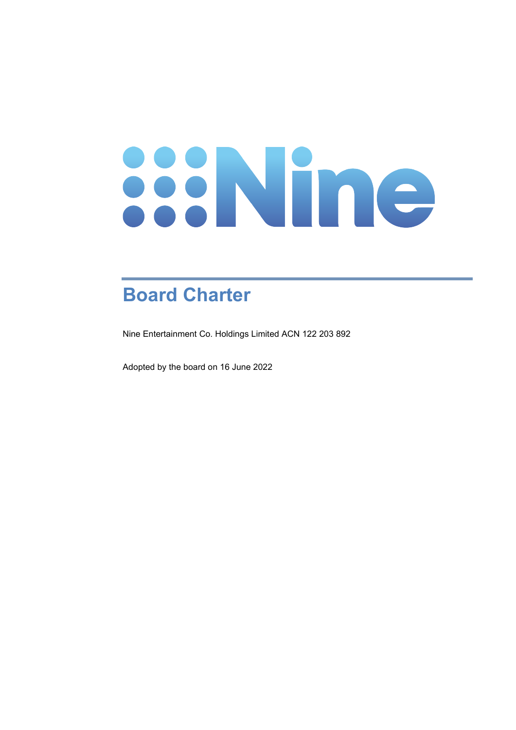# 

# **Board Charter**

Nine Entertainment Co. Holdings Limited ACN 122 203 892

Adopted by the board on 16 June 2022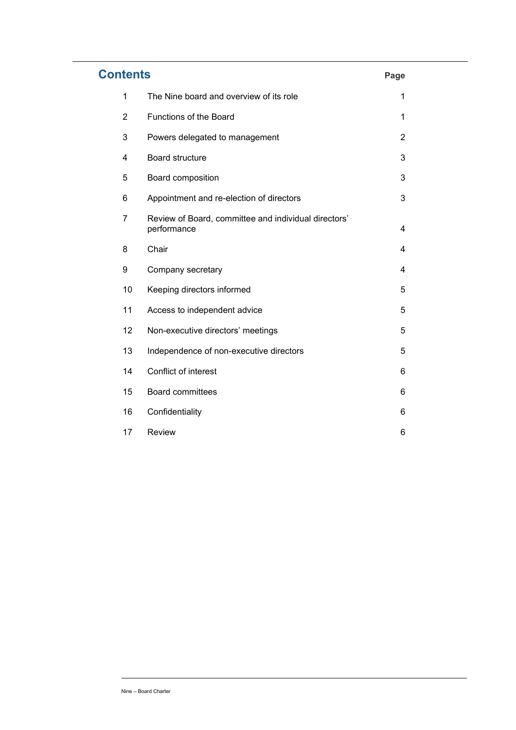| <b>Contents</b> |                                                                     | Page |
|-----------------|---------------------------------------------------------------------|------|
| 1               | The Nine board and overview of its role                             | 1    |
| $\overline{2}$  | Functions of the Board                                              | 1    |
| 3               | Powers delegated to management                                      | 2    |
| 4               | <b>Board structure</b>                                              | 3    |
| 5               | Board composition                                                   | 3    |
| 6               | Appointment and re-election of directors                            | 3    |
| 7               | Review of Board, committee and individual directors'<br>performance | 4    |
| 8               | Chair                                                               | 4    |
| 9               | Company secretary                                                   | 4    |
| 10              | Keeping directors informed                                          | 5    |
| 11              | Access to independent advice                                        | 5    |
| 12              | Non-executive directors' meetings                                   | 5    |
| 13              | Independence of non-executive directors                             | 5    |
| 14              | Conflict of interest                                                | 6    |
| 15              | <b>Board committees</b>                                             | 6    |
| 16              | Confidentiality                                                     | 6    |
| 17              | <b>Review</b>                                                       | 6    |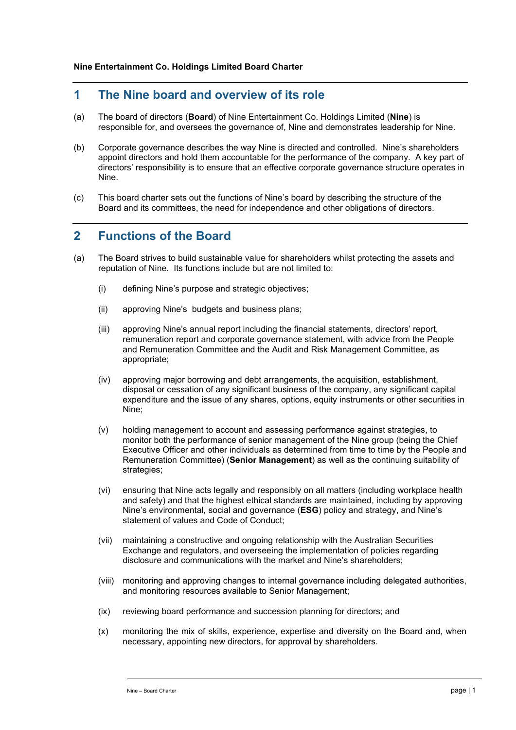#### **1 The Nine board and overview of its role**

- (a) The board of directors (**Board**) of Nine Entertainment Co. Holdings Limited (**Nine**) is responsible for, and oversees the governance of, Nine and demonstrates leadership for Nine.
- (b) Corporate governance describes the way Nine is directed and controlled. Nine's shareholders appoint directors and hold them accountable for the performance of the company. A key part of directors' responsibility is to ensure that an effective corporate governance structure operates in Nine.
- (c) This board charter sets out the functions of Nine's board by describing the structure of the Board and its committees, the need for independence and other obligations of directors.

#### **2 Functions of the Board**

- (a) The Board strives to build sustainable value for shareholders whilst protecting the assets and reputation of Nine. Its functions include but are not limited to:
	- (i) defining Nine's purpose and strategic objectives;
	- (ii) approving Nine's budgets and business plans;
	- (iii) approving Nine's annual report including the financial statements, directors' report, remuneration report and corporate governance statement, with advice from the People and Remuneration Committee and the Audit and Risk Management Committee, as appropriate;
	- (iv) approving major borrowing and debt arrangements, the acquisition, establishment, disposal or cessation of any significant business of the company, any significant capital expenditure and the issue of any shares, options, equity instruments or other securities in Nine;
	- (v) holding management to account and assessing performance against strategies, to monitor both the performance of senior management of the Nine group (being the Chief Executive Officer and other individuals as determined from time to time by the People and Remuneration Committee) (**Senior Management**) as well as the continuing suitability of strategies;
	- (vi) ensuring that Nine acts legally and responsibly on all matters (including workplace health and safety) and that the highest ethical standards are maintained, including by approving Nine's environmental, social and governance (**ESG**) policy and strategy, and Nine's statement of values and Code of Conduct;
	- (vii) maintaining a constructive and ongoing relationship with the Australian Securities Exchange and regulators, and overseeing the implementation of policies regarding disclosure and communications with the market and Nine's shareholders;
	- (viii) monitoring and approving changes to internal governance including delegated authorities, and monitoring resources available to Senior Management;
	- (ix) reviewing board performance and succession planning for directors; and
	- (x) monitoring the mix of skills, experience, expertise and diversity on the Board and, when necessary, appointing new directors, for approval by shareholders.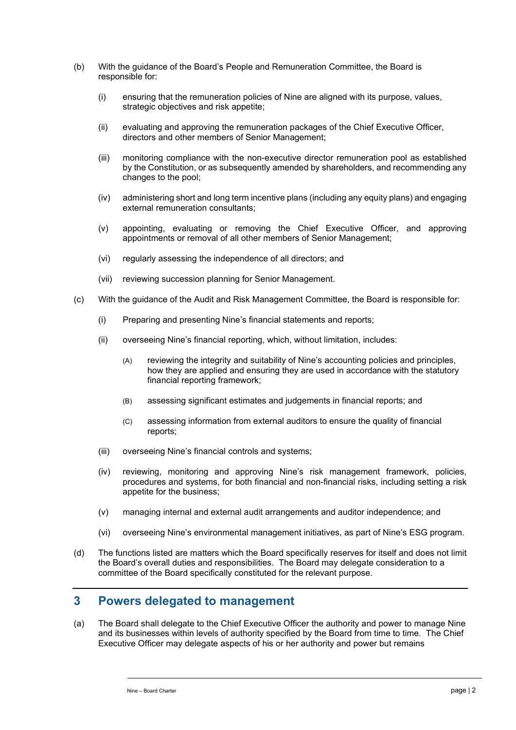- (b) With the guidance of the Board's People and Remuneration Committee, the Board is responsible for:
	- (i) ensuring that the remuneration policies of Nine are aligned with its purpose, values, strategic objectives and risk appetite;
	- (ii) evaluating and approving the remuneration packages of the Chief Executive Officer, directors and other members of Senior Management;
	- (iii) monitoring compliance with the non-executive director remuneration pool as established by the Constitution, or as subsequently amended by shareholders, and recommending any changes to the pool;
	- (iv) administering short and long term incentive plans (including any equity plans) and engaging external remuneration consultants;
	- (v) appointing, evaluating or removing the Chief Executive Officer, and approving appointments or removal of all other members of Senior Management;
	- (vi) regularly assessing the independence of all directors; and
	- (vii) reviewing succession planning for Senior Management.
- (c) With the guidance of the Audit and Risk Management Committee, the Board is responsible for:
	- (i) Preparing and presenting Nine's financial statements and reports;
	- (ii) overseeing Nine's financial reporting, which, without limitation, includes:
		- (A) reviewing the integrity and suitability of Nine's accounting policies and principles, how they are applied and ensuring they are used in accordance with the statutory financial reporting framework;
		- (B) assessing significant estimates and judgements in financial reports; and
		- (C) assessing information from external auditors to ensure the quality of financial reports;
	- (iii) overseeing Nine's financial controls and systems;
	- (iv) reviewing, monitoring and approving Nine's risk management framework, policies, procedures and systems, for both financial and non-financial risks, including setting a risk appetite for the business;
	- (v) managing internal and external audit arrangements and auditor independence; and
	- (vi) overseeing Nine's environmental management initiatives, as part of Nine's ESG program.
- (d) The functions listed are matters which the Board specifically reserves for itself and does not limit the Board's overall duties and responsibilities. The Board may delegate consideration to a committee of the Board specifically constituted for the relevant purpose.

#### **3 Powers delegated to management**

(a) The Board shall delegate to the Chief Executive Officer the authority and power to manage Nine and its businesses within levels of authority specified by the Board from time to time. The Chief Executive Officer may delegate aspects of his or her authority and power but remains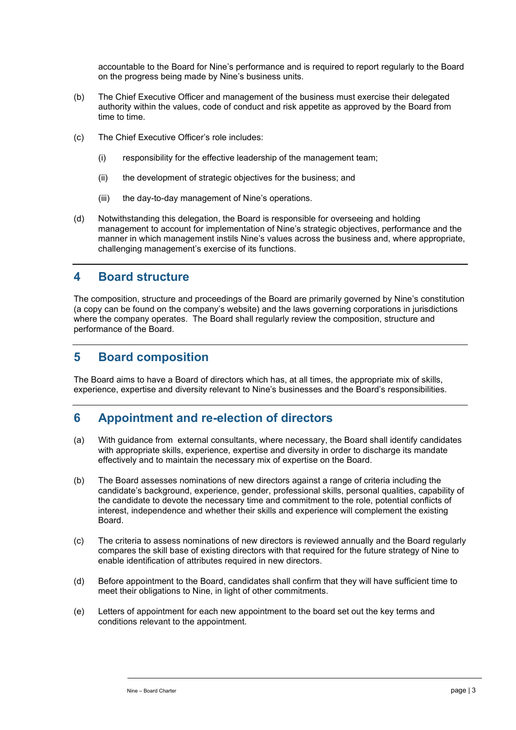accountable to the Board for Nine's performance and is required to report regularly to the Board on the progress being made by Nine's business units.

- (b) The Chief Executive Officer and management of the business must exercise their delegated authority within the values, code of conduct and risk appetite as approved by the Board from time to time.
- (c) The Chief Executive Officer's role includes:
	- (i) responsibility for the effective leadership of the management team;
	- (ii) the development of strategic objectives for the business; and
	- (iii) the day-to-day management of Nine's operations.
- (d) Notwithstanding this delegation, the Board is responsible for overseeing and holding management to account for implementation of Nine's strategic objectives, performance and the manner in which management instils Nine's values across the business and, where appropriate, challenging management's exercise of its functions.

#### **4 Board structure**

The composition, structure and proceedings of the Board are primarily governed by Nine's constitution (a copy can be found on the company's website) and the laws governing corporations in jurisdictions where the company operates. The Board shall regularly review the composition, structure and performance of the Board.

# **5 Board composition**

The Board aims to have a Board of directors which has, at all times, the appropriate mix of skills, experience, expertise and diversity relevant to Nine's businesses and the Board's responsibilities.

# **6 Appointment and re-election of directors**

- (a) With guidance from external consultants, where necessary, the Board shall identify candidates with appropriate skills, experience, expertise and diversity in order to discharge its mandate effectively and to maintain the necessary mix of expertise on the Board.
- (b) The Board assesses nominations of new directors against a range of criteria including the candidate's background, experience, gender, professional skills, personal qualities, capability of the candidate to devote the necessary time and commitment to the role, potential conflicts of interest, independence and whether their skills and experience will complement the existing Board.
- (c) The criteria to assess nominations of new directors is reviewed annually and the Board regularly compares the skill base of existing directors with that required for the future strategy of Nine to enable identification of attributes required in new directors.
- (d) Before appointment to the Board, candidates shall confirm that they will have sufficient time to meet their obligations to Nine, in light of other commitments.
- (e) Letters of appointment for each new appointment to the board set out the key terms and conditions relevant to the appointment.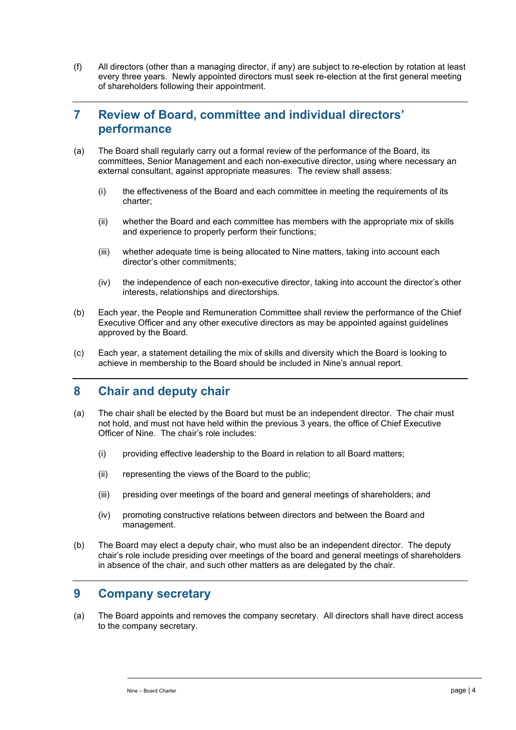(f) All directors (other than a managing director, if any) are subject to re-election by rotation at least every three years. Newly appointed directors must seek re-election at the first general meeting of shareholders following their appointment.

# **7 Review of Board, committee and individual directors' performance**

- (a) The Board shall regularly carry out a formal review of the performance of the Board, its committees, Senior Management and each non-executive director, using where necessary an external consultant, against appropriate measures. The review shall assess:
	- (i) the effectiveness of the Board and each committee in meeting the requirements of its charter;
	- (ii) whether the Board and each committee has members with the appropriate mix of skills and experience to properly perform their functions;
	- (iii) whether adequate time is being allocated to Nine matters, taking into account each director's other commitments;
	- (iv) the independence of each non-executive director, taking into account the director's other interests, relationships and directorships.
- (b) Each year, the People and Remuneration Committee shall review the performance of the Chief Executive Officer and any other executive directors as may be appointed against guidelines approved by the Board.
- (c) Each year, a statement detailing the mix of skills and diversity which the Board is looking to achieve in membership to the Board should be included in Nine's annual report.

# **8 Chair and deputy chair**

- (a) The chair shall be elected by the Board but must be an independent director. The chair must not hold, and must not have held within the previous 3 years, the office of Chief Executive Officer of Nine. The chair's role includes:
	- (i) providing effective leadership to the Board in relation to all Board matters;
	- (ii) representing the views of the Board to the public;
	- (iii) presiding over meetings of the board and general meetings of shareholders; and
	- (iv) promoting constructive relations between directors and between the Board and management.
- (b) The Board may elect a deputy chair, who must also be an independent director. The deputy chair's role include presiding over meetings of the board and general meetings of shareholders in absence of the chair, and such other matters as are delegated by the chair.

#### **9 Company secretary**

(a) The Board appoints and removes the company secretary. All directors shall have direct access to the company secretary.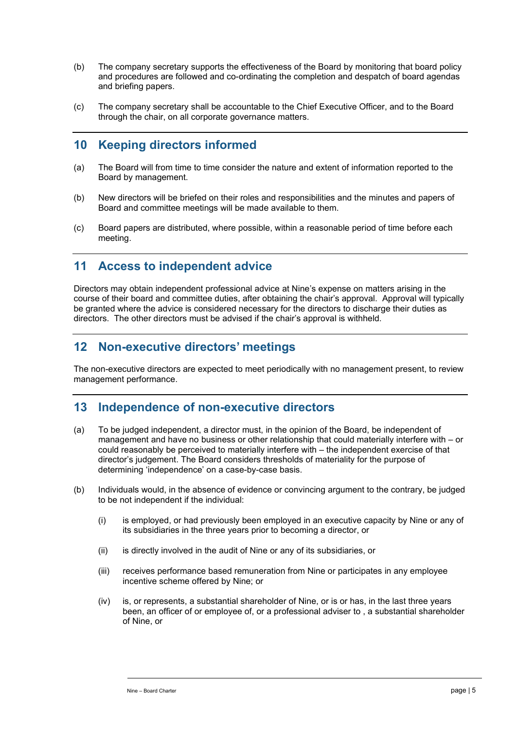- (b) The company secretary supports the effectiveness of the Board by monitoring that board policy and procedures are followed and co-ordinating the completion and despatch of board agendas and briefing papers.
- (c) The company secretary shall be accountable to the Chief Executive Officer, and to the Board through the chair, on all corporate governance matters.

# **10 Keeping directors informed**

- (a) The Board will from time to time consider the nature and extent of information reported to the Board by management.
- (b) New directors will be briefed on their roles and responsibilities and the minutes and papers of Board and committee meetings will be made available to them.
- (c) Board papers are distributed, where possible, within a reasonable period of time before each meeting.

# **11 Access to independent advice**

Directors may obtain independent professional advice at Nine's expense on matters arising in the course of their board and committee duties, after obtaining the chair's approval. Approval will typically be granted where the advice is considered necessary for the directors to discharge their duties as directors. The other directors must be advised if the chair's approval is withheld.

# **12 Non-executive directors' meetings**

The non-executive directors are expected to meet periodically with no management present, to review management performance.

#### **13 Independence of non-executive directors**

- (a) To be judged independent, a director must, in the opinion of the Board, be independent of management and have no business or other relationship that could materially interfere with – or could reasonably be perceived to materially interfere with – the independent exercise of that director's judgement. The Board considers thresholds of materiality for the purpose of determining 'independence' on a case-by-case basis.
- (b) Individuals would, in the absence of evidence or convincing argument to the contrary, be judged to be not independent if the individual:
	- (i) is employed, or had previously been employed in an executive capacity by Nine or any of its subsidiaries in the three years prior to becoming a director, or
	- (ii) is directly involved in the audit of Nine or any of its subsidiaries, or
	- (iii) receives performance based remuneration from Nine or participates in any employee incentive scheme offered by Nine; or
	- (iv) is, or represents, a substantial shareholder of Nine, or is or has, in the last three years been, an officer of or employee of, or a professional adviser to , a substantial shareholder of Nine, or